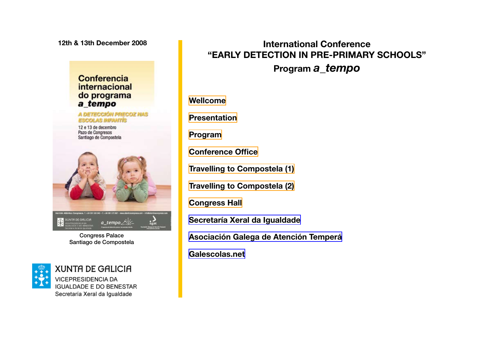<span id="page-0-0"></span>**12th & 13th December 2008**

### **Conferencia** internacional do programa a\_tempo

A DETECCIÓN PRECOZ NAS **ESCOLAS INFANTIS** 

12 e 13 de decembro Pazo de Congresos Santiago de Compostela



Congress Palace Santiago de Compostela



**XUNTA DE GALICIA VICEPRESIDENCIA DA IGUALDADE E DO BENESTAR** Secretaría Xeral da Igualdade

# **International Conference "EARLY DETECTION IN PRE-PRIMARY SCHOOLS" Program** *a\_tempo*

**[Wellcome](#page-1-0)**

**[Presentation](#page-2-0)**

**[Program](#page-3-0)**

**[Conference Office](#page-4-0)**

**[Travelling to Compostela \(1\)](#page-5-0)**

**[Travelling to Compostela \(2\)](#page-6-0)**

**[Congress Hall](#page-6-0)**

**[Secretaría Xeral da Igualdade](http://vicepresidencia.xunta.es/index.php?id=7)**

**[Asociación Galega de Atención Temperá](http://www.atenciontemprana.com)**

**[Galescolas.net](http://www.atenciontemprana.com)**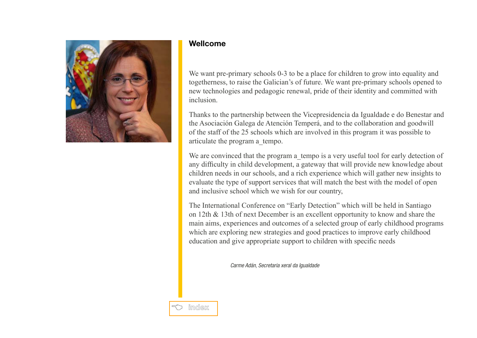<span id="page-1-0"></span>

#### **Wellcome**

We want pre-primary schools 0-3 to be a place for children to grow into equality and togetherness, to raise the Galician's of future. We want pre-primary schools opened to new technologies and pedagogic renewal, pride of their identity and committed with inclusion.

Thanks to the partnership between the Vicepresidencia da Igualdade e do Benestar and the Asociación Galega de Atención Temperá, and to the collaboration and goodwill of the staff of the 25 schools which are involved in this program it was possible to articulate the program a\_tempo.

We are convinced that the program a tempo is a very useful tool for early detection of any difficulty in child development, a gateway that will provide new knowledge about children needs in our schools, and a rich experience which will gather new insights to evaluate the type of support services that will match the best with the model of open and inclusive school which we wish for our country,

The International Conference on "Early Detection" which will be held in Santiago on 12th & 13th of next December is an excellent opportunity to know and share the main aims, experiences and outcomes of a selected group of early childhood programs which are exploring new strategies and good practices to improve early childhood education and give appropriate support to children with specific needs

*Carme Adán, Secretaria xeral da Igualdade* 

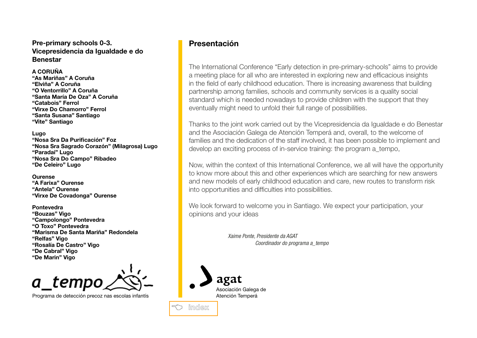#### <span id="page-2-0"></span>**Pre-primary schools 0-3. Vicepresidencia da Igualdade e do Benestar**

#### **A CORUÑA**

**"As Mariñas" A Coruña "Elviña" A Coruña "O Ventorrillo" A Coruña "Santa María De Oza" A Coruña "Catabois" Ferrol "Virxe Do Chamorro" Ferrol "Santa Susana" Santiago "Vite" Santiago** 

#### **Lugo**

**"Nosa Sra Da Purificación" Foz "Nosa Sra Sagrado Corazón" (Milagrosa) Lugo "Paradai" Lugo "Nosa Sra Do Campo" Ribadeo "De Celeiro" Lugo** 

#### **Ourense**

**"A Farixa" Ourense "Antela" Ourense "Virxe De Covadonga" Ourense** 

#### **Pontevedra "Bouzas" Vigo "Campolongo" Pontevedra "O Toxo" Pontevedra "Marisma De Santa Mariña" Redondela "Relfas" Vigo "Rosalía De Castro" Vigo "De Cabral" Vigo "De Marin" Vigo**

a temp

Programa de detección precoz nas escolas infantís

# **Presentación**

The International Conference "Early detection in pre-primary-schools" aims to provide a meeting place for all who are interested in exploring new and efficacious insights in the field of early childhood education. There is increasing awareness that building partnership among families, schools and community services is a quality social standard which is needed nowadays to provide children with the support that they eventually might need to unfold their full range of possibilities.

Thanks to the joint work carried out by the Vicepresidencia da Igualdade e do Benestar and the Asociación Galega de Atención Temperá and, overall, to the welcome of families and the dedication of the staff involved, it has been possible to implement and develop an exciting process of in-service training: the program a\_tempo,

Now, within the context of this International Conference, we all will have the opportunity to know more about this and other experiences which are searching for new answers and new models of early childhood education and care, new routes to transform risk into opportunities and difficulties into possibilities.

We look forward to welcome you in Santiago. We expect your participation, your opinions and your ideas

> *Xaime Ponte, Presidente da AGAT Coordinador do programa a\_tempo*



B **[index](#page-0-0)**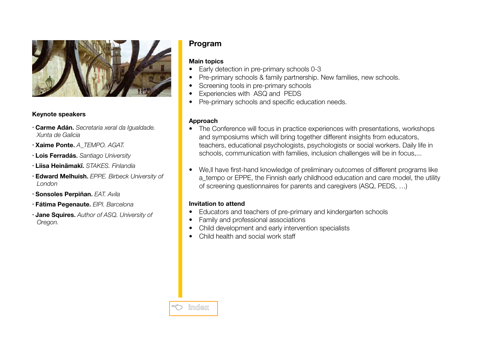<span id="page-3-0"></span>

#### **Keynote speakers**

- **Carme Adán**. *Secretaria xeral da Igualdade. Xunta de Galicia*
- **Xaime Ponte**. *A\_TEMPO. AGAT.*
- **Lois Ferradás**. *Santiago University*
- **Liisa Heinämakï**. *STAKES. Finlandia*
- **Edward Melhuish**. *EPPE. Birbeck University of London*
- **Sonsoles Perpiñan**. *EAT. Avila*
- **Fátima Pegenaute**. *EIPI. Barcelona*
- **Jane Squires**. *Author of ASQ. University of Oregon.*

# **Program**

### **Main topics**

- Early detection in pre-primary schools 0-3
- Pre-primary schools & family partnership. New families, new schools.
- Screening tools in pre-primary schools
- Experiencies with ASQ and PEDS
- Pre-primary schools and specific education needs.

### **Approach**

- The Conference will focus in practice experiences with presentations, workshops and symposiums which will bring together different insights from educators, teachers, educational psychologists, psychologists or social workers. Daily life in schools, communication with families, inclusion challenges will be in focus,...
- We, II have first-hand knowledge of preliminary outcomes of different programs like a tempo or EPPE, the Finnish early childhood education and care model, the utility of screening questionnaires for parents and caregivers (ASQ, PEDS, …)

### **Invitation to attend**

- Educators and teachers of pre-primary and kindergarten schools
- Family and professional associations
- Child development and early intervention specialists
- Child health and social work staff

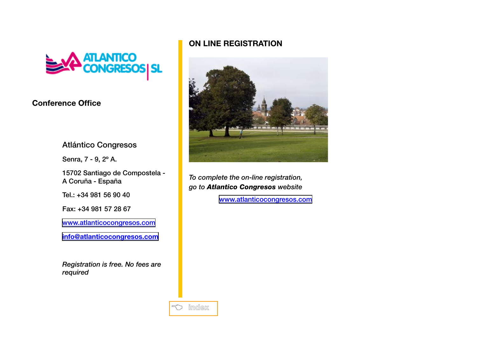<span id="page-4-0"></span>

# **Conference Office**

Atlántico Congresos

Senra, 7 - 9, 2º A.

15702 Santiago de Compostela - A Coruña - España

Tel.: +34 981 56 90 40

Fax: +34 981 57 28 67

[www.atlanticocongresos.com](http://www.atlanticocongresos.com)

**[info@atlanticocongresos.com](mailto:info@atlanticocongresos.com)**

*Registration is free. No fees are required*

# **ON LINE REGISTRATION**



*To complete the on-line registration, go to Atlantico Congresos website*

[www.atlanticocongresos.com](http://www.atlanticocongresos.com/galescolas2008/formreg.html)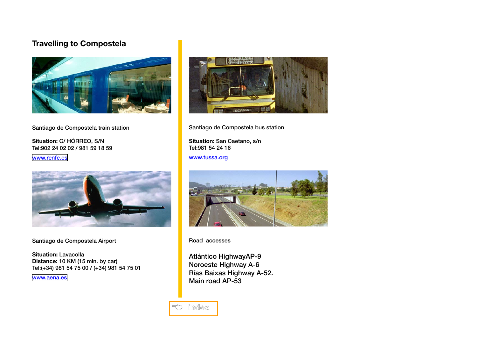# <span id="page-5-0"></span>**Travelling to Compostela**



#### Santiago de Compostela train station

**Situation:** C/ HÓRREO, S/N Tel:902 24 02 02 / 981 59 18 59

[www.renfe.es](http://www.renfe.es)



Santiago de Compostela Airport

**Situation:** Lavacolla **Distance:** 10 KM (15 min. by car) Tel:(+34) 981 54 75 00 / (+34) 981 54 75 01

[www.aena.es](http://www.aena.es)



Santiago de Compostela bus station

**Situation:** San Caetano, s/n Tel:981 54 24 16

www.tussa.org



Road accesses

Atlántico HighwayAP-9 Noroeste Highway A-6 Rías Baixas Highway A-52. Main road AP-53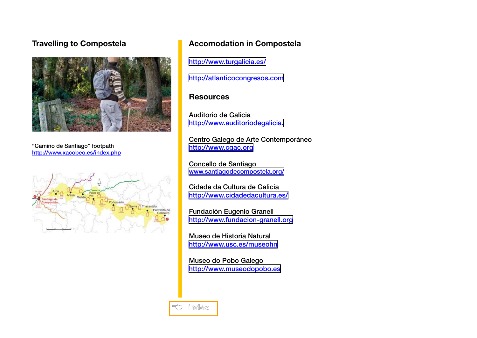# <span id="page-6-0"></span>**Travelling to Compostela**



"Camiño de Santiago" footpath http://www.xacobeo.es/index.php



# **Accomodation in Compostela**

<http://www.turgalicia.es/>

[http://atlanticocongresos.com](http://www.atenciontemprana.com)

# **Resources**

Auditorio de Galicia <http://www.auditoriodegalicia.>

Centro Galego de Arte Contemporáneo <http://www.cgac.org>

Concello de Santiago [www.santiagodecompostela.org/](http://www.santiagodecompostela.org/)

Cidade da Cultura de Galicia <http://www.cidadedacultura.es/>

Fundación Eugenio Granell <http://www.fundacion-granell.org>

Museo de Historia Natural <http://www.usc.es/museohn>

Museo do Pobo Galego <http://www.museodopobo.es>